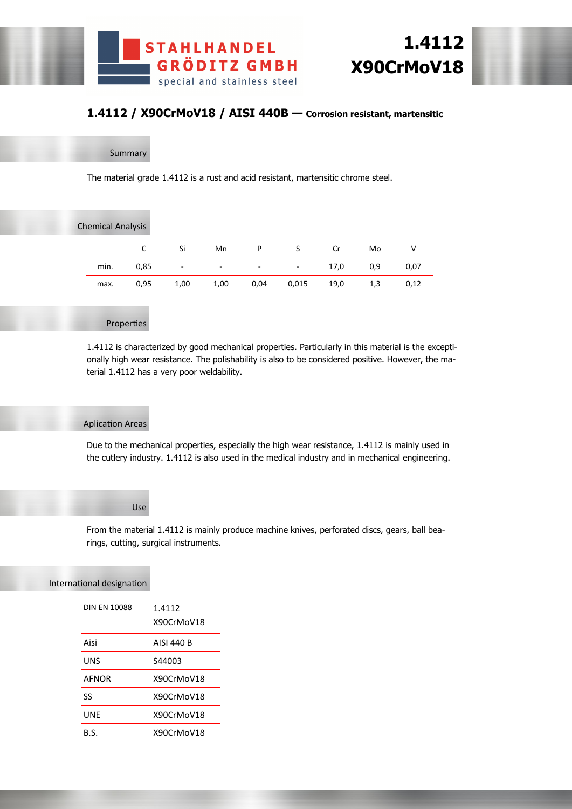





# **1.4112 / X90CrMoV18 / AISI 440B — Corrosion resistant, martensitic**

Summary

The material grade 1.4112 is a rust and acid resistant, martensitic chrome steel.

| <b>Chemical Analysis</b> |      |      |                          |                          |        |      |     |      |
|--------------------------|------|------|--------------------------|--------------------------|--------|------|-----|------|
|                          | C    | Si   | Mn                       | P                        | S.     | Cr   | Mo  | ٧    |
| min.                     | 0,85 | -    | $\overline{\phantom{a}}$ | $\overline{\phantom{a}}$ | $\sim$ | 17,0 | 0,9 | 0,07 |
| max.                     | 0,95 | 1,00 | 1,00                     | 0,04                     | 0,015  | 19,0 | 1,3 | 0,12 |
|                          |      |      |                          |                          |        |      |     |      |

## Properties

1.4112 is characterized by good mechanical properties. Particularly in this material is the exceptionally high wear resistance. The polishability is also to be considered positive. However, the material 1.4112 has a very poor weldability.

#### Aplication Areas

Due to the mechanical properties, especially the high wear resistance, 1.4112 is mainly used in the cutlery industry. 1.4112 is also used in the medical industry and in mechanical engineering.

# Use

From the material 1.4112 is mainly produce machine knives, perforated discs, gears, ball bearings, cutting, surgical instruments.

#### International designation

| <b>DIN FN 10088</b> | 1.4112<br>X90CrMoV18 |
|---------------------|----------------------|
| Aisi                | AISI 440 B           |
| UNS                 | S44003               |
| <b>AFNOR</b>        | X90CrMoV18           |
| ß                   | X90CrMoV18           |
| UNE                 | X90CrMoV18           |
| B.S.                | X90CrMoV18           |